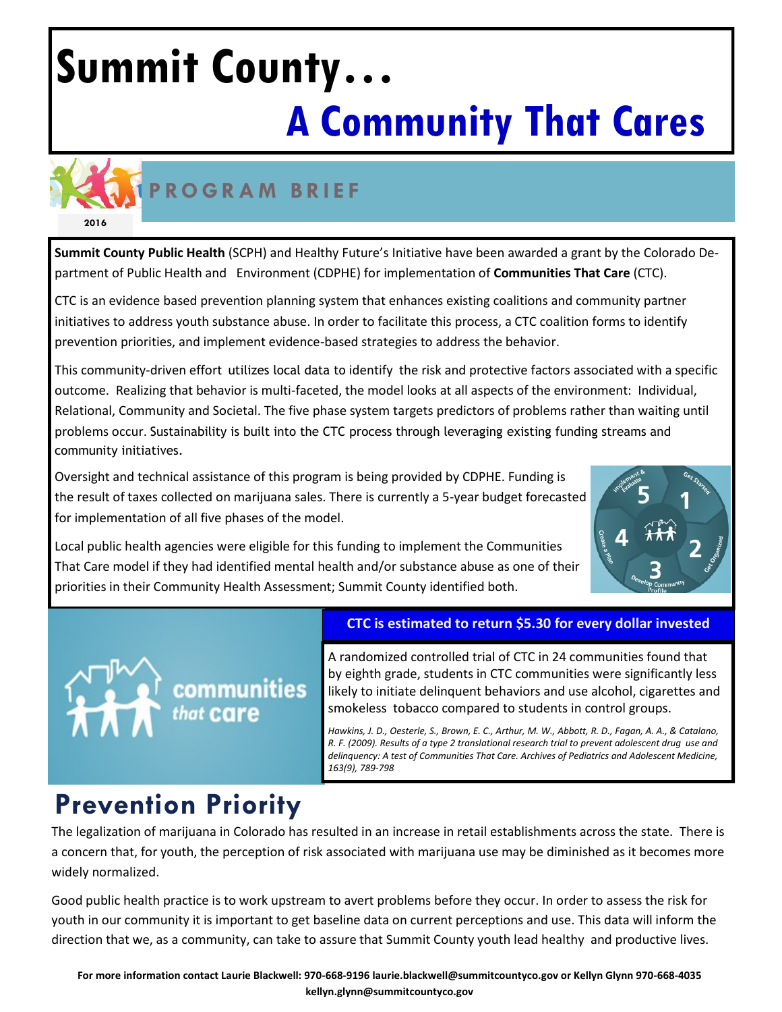# **Summit County… A Community That Cares**



# **P RO G R A M B R I E F**

**Summit County Public Health** (SCPH) and Healthy Future's Initiative have been awarded a grant by the Colorado Department of Public Health and Environment (CDPHE) for implementation of **Communities That Care** (CTC).

CTC is an evidence based prevention planning system that enhances existing coalitions and community partner initiatives to address youth substance abuse. In order to facilitate this process, a CTC coalition forms to identify prevention priorities, and implement evidence-based strategies to address the behavior.

This community-driven effort utilizes local data to identify the risk and protective factors associated with a specific outcome. Realizing that behavior is multi-faceted, the model looks at all aspects of the environment: Individual, Relational, Community and Societal. The five phase system targets predictors of problems rather than waiting until problems occur. Sustainability is built into the CTC process through leveraging existing funding streams and community initiatives.

Oversight and technical assistance of this program is being provided by CDPHE. Funding is the result of taxes collected on marijuana sales. There is currently a 5-year budget forecasted for implementation of all five phases of the model.



Local public health agencies were eligible for this funding to implement the Communities That Care model if they had identified mental health and/or substance abuse as one of their priorities in their Community Health Assessment; Summit County identified both.

### **CTC is estimated to return \$5.30 for every dollar invested**

A randomized controlled trial of CTC in 24 communities found that by eighth grade, students in CTC communities were significantly less likely to initiate delinquent behaviors and use alcohol, cigarettes and smokeless tobacco compared to students in control groups.

*Hawkins, J. D., Oesterle, S., Brown, E. C., Arthur, M. W., Abbott, R. D., Fagan, A. A., & Catalano, R. F. (2009). Results of a type 2 translational research trial to prevent adolescent drug use and delinquency: A test of Communities That Care. Archives of Pediatrics and Adolescent Medicine, 163(9), 789-798*

# **Prevention Priority**

**that Care** 

communities

The legalization of marijuana in Colorado has resulted in an increase in retail establishments across the state. There is a concern that, for youth, the perception of risk associated with marijuana use may be diminished as it becomes more widely normalized.

Good public health practice is to work upstream to avert problems before they occur. In order to assess the risk for youth in our community it is important to get baseline data on current perceptions and use. This data will inform the direction that we, as a community, can take to assure that Summit County youth lead healthy and productive lives.